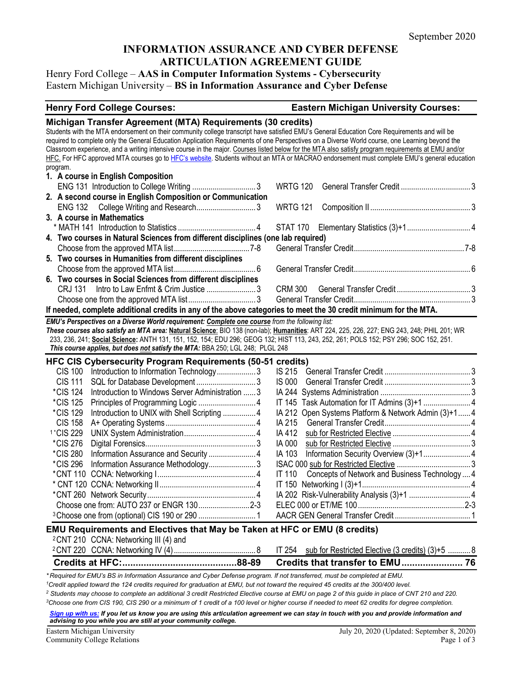# **INFORMATION ASSURANCE AND CYBER DEFENSE ARTICULATION AGREEMENT GUIDE**

Henry Ford College – **AAS in Computer Information Systems - Cybersecurity** Eastern Michigan University – **BS in Information Assurance and Cyber Defense**

#### **Henry Ford College Courses: Eastern Michigan University Courses:**

|                                                                                                                                                                                                                                                                                    | Michigan Transfer Agreement (MTA) Requirements (30 credits)       |  |  |  |  |  |
|------------------------------------------------------------------------------------------------------------------------------------------------------------------------------------------------------------------------------------------------------------------------------------|-------------------------------------------------------------------|--|--|--|--|--|
| Students with the MTA endorsement on their community college transcript have satisfied EMU's General Education Core Requirements and will be                                                                                                                                       |                                                                   |  |  |  |  |  |
| required to complete only the General Education Application Requirements of one Perspectives on a Diverse World course, one Learning beyond the                                                                                                                                    |                                                                   |  |  |  |  |  |
| Classroom experience, and a writing intensive course in the major. Courses listed below for the MTA also satisfy program requirements at EMU and/or                                                                                                                                |                                                                   |  |  |  |  |  |
| HFC. For HFC approved MTA courses go to HFC's website. Students without an MTA or MACRAO endorsement must complete EMU's general education                                                                                                                                         |                                                                   |  |  |  |  |  |
| program.<br>1. A course in English Composition                                                                                                                                                                                                                                     |                                                                   |  |  |  |  |  |
|                                                                                                                                                                                                                                                                                    | <b>WRTG 120</b>                                                   |  |  |  |  |  |
|                                                                                                                                                                                                                                                                                    |                                                                   |  |  |  |  |  |
| 2. A second course in English Composition or Communication<br>ENG 132 College Writing and Research3                                                                                                                                                                                | <b>WRTG 121</b>                                                   |  |  |  |  |  |
| 3. A course in Mathematics                                                                                                                                                                                                                                                         |                                                                   |  |  |  |  |  |
|                                                                                                                                                                                                                                                                                    |                                                                   |  |  |  |  |  |
| 4. Two courses in Natural Sciences from different disciplines (one lab required)                                                                                                                                                                                                   |                                                                   |  |  |  |  |  |
|                                                                                                                                                                                                                                                                                    |                                                                   |  |  |  |  |  |
| 5. Two courses in Humanities from different disciplines                                                                                                                                                                                                                            |                                                                   |  |  |  |  |  |
|                                                                                                                                                                                                                                                                                    |                                                                   |  |  |  |  |  |
| 6. Two courses in Social Sciences from different disciplines                                                                                                                                                                                                                       |                                                                   |  |  |  |  |  |
|                                                                                                                                                                                                                                                                                    |                                                                   |  |  |  |  |  |
| CRJ 131                                                                                                                                                                                                                                                                            |                                                                   |  |  |  |  |  |
|                                                                                                                                                                                                                                                                                    |                                                                   |  |  |  |  |  |
| If needed, complete additional credits in any of the above categories to meet the 30 credit minimum for the MTA.                                                                                                                                                                   |                                                                   |  |  |  |  |  |
| EMU's Perspectives on a Diverse World requirement: Complete one course from the following list:                                                                                                                                                                                    |                                                                   |  |  |  |  |  |
| These courses also satisfy an MTA area: Natural Science: BIO 138 (non-lab); Humanities: ART 224, 225, 226, 227; ENG 243, 248; PHIL 201; WR<br>233, 236, 241; Social Science: ANTH 131, 151, 152, 154; EDU 296; GEOG 132; HIST 113, 243, 252, 261; POLS 152; PSY 296; SOC 152, 251. |                                                                   |  |  |  |  |  |
| This course applies, but does not satisfy the MTA: BBA 250; LGL 248; PLGL 248                                                                                                                                                                                                      |                                                                   |  |  |  |  |  |
|                                                                                                                                                                                                                                                                                    |                                                                   |  |  |  |  |  |
|                                                                                                                                                                                                                                                                                    |                                                                   |  |  |  |  |  |
| HFC CIS Cybersecurity Program Requirements (50-51 credits)                                                                                                                                                                                                                         |                                                                   |  |  |  |  |  |
| CIS 100 Introduction to Information Technology3                                                                                                                                                                                                                                    |                                                                   |  |  |  |  |  |
| <b>CIS 111</b>                                                                                                                                                                                                                                                                     | <b>IS 000</b>                                                     |  |  |  |  |  |
| <i>*CIS</i> 124<br>Introduction to Windows Server Administration  3                                                                                                                                                                                                                |                                                                   |  |  |  |  |  |
| <i>*CIS</i> 125                                                                                                                                                                                                                                                                    |                                                                   |  |  |  |  |  |
| *CIS 129<br>Introduction to UNIX with Shell Scripting  4                                                                                                                                                                                                                           | IA 212 Open Systems Platform & Network Admin (3)+1 4              |  |  |  |  |  |
| <b>CIS 158</b>                                                                                                                                                                                                                                                                     | IA 215                                                            |  |  |  |  |  |
| <sup>1</sup> *CIS 229                                                                                                                                                                                                                                                              | IA 412                                                            |  |  |  |  |  |
| <i>*CIS 276</i>                                                                                                                                                                                                                                                                    | IA 000                                                            |  |  |  |  |  |
| *CIS 280                                                                                                                                                                                                                                                                           | IA 103                                                            |  |  |  |  |  |
| <i>*CIS 296</i><br>Information Assurance Methodology3                                                                                                                                                                                                                              |                                                                   |  |  |  |  |  |
|                                                                                                                                                                                                                                                                                    | Concepts of Network and Business Technology  4<br><b>IT 110</b>   |  |  |  |  |  |
|                                                                                                                                                                                                                                                                                    |                                                                   |  |  |  |  |  |
|                                                                                                                                                                                                                                                                                    |                                                                   |  |  |  |  |  |
| Choose one from: AUTO 237 or ENGR 1302-3                                                                                                                                                                                                                                           |                                                                   |  |  |  |  |  |
|                                                                                                                                                                                                                                                                                    |                                                                   |  |  |  |  |  |
|                                                                                                                                                                                                                                                                                    |                                                                   |  |  |  |  |  |
| EMU Requirements and Electives that May be Taken at HFC or EMU (8 credits)                                                                                                                                                                                                         |                                                                   |  |  |  |  |  |
| <sup>2</sup> CNT 210 CCNA: Networking III (4) and                                                                                                                                                                                                                                  |                                                                   |  |  |  |  |  |
|                                                                                                                                                                                                                                                                                    | <b>IT 254</b><br>sub for Restricted Elective (3 credits) (3)+5  8 |  |  |  |  |  |
| *Required for EMU's BS in Information Assurance and Cyber Defense program. If not transferred, must be completed at EMU.                                                                                                                                                           |                                                                   |  |  |  |  |  |

*<sup>2</sup> Students may choose to complete an additional 3 credit Restricted Elective course at EMU on page 2 of this guide in place of CNT 210 and 220.* 

*3Choose one from CIS 190, CIS 290 or a minimum of 1 credit of a 100 level or higher course if needed to meet 62 credits for degree completion.*

*[Sign up with us:](https://www.emich.edu/ccr/articulation-agreements/signup.php) If you let us know you are using this articulation agreement we can stay in touch with you and provide information and advising to you while you are still at your community college.*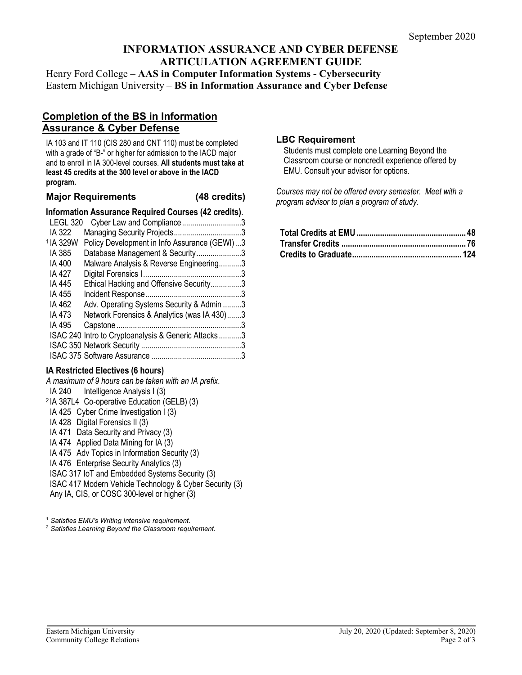# **INFORMATION ASSURANCE AND CYBER DEFENSE ARTICULATION AGREEMENT GUIDE**

Henry Ford College – **AAS in Computer Information Systems - Cybersecurity** Eastern Michigan University – **BS in Information Assurance and Cyber Defense**

# **Completion of the BS in Information Assurance & Cyber Defense**

IA 103 and IT 110 (CIS 280 and CNT 110) must be completed with a grade of "B-" or higher for admission to the IACD major and to enroll in IA 300-level courses. **All students must take at least 45 credits at the 300 level or above in the IACD program.**

#### **Major Requirements (48 credits)**

#### **Information Assurance Required Courses (42 credits)**.

| LEGL 320             | Cyber Law and Compliance3                           |   |
|----------------------|-----------------------------------------------------|---|
| IA 322               |                                                     |   |
| <sup>1</sup> IA 329W | Policy Development in Info Assurance (GEWI)3        |   |
| IA 385               | Database Management & Security3                     |   |
| IA 400               | Malware Analysis & Reverse Engineering3             |   |
| IA 427               |                                                     |   |
| IA 445               | Ethical Hacking and Offensive Security3             |   |
| IA 455               |                                                     |   |
| IA 462               | Adv. Operating Systems Security & Admin 3           |   |
| IA 473               | Network Forensics & Analytics (was IA 430)3         |   |
| IA 495               |                                                     | 3 |
|                      | ISAC 240 Intro to Cryptoanalysis & Generic Attacks3 |   |
|                      |                                                     |   |
|                      |                                                     |   |
|                      |                                                     |   |

### **IA Restricted Electives (6 hours)**

*A maximum of 9 hours can be taken with an IA prefix*. IA 240 Intelligence Analysis I (3) <sup>2</sup> IA 387L4 Co-operative Education (GELB) (3) IA 425 Cyber Crime Investigation I (3) IA 428 Digital Forensics II (3) IA 471 Data Security and Privacy (3) IA 474 Applied Data Mining for IA (3) IA 475 Adv Topics in Information Security (3) IA 476 Enterprise Security Analytics (3) ISAC 317 IoT and Embedded Systems Security (3) ISAC 417 Modern Vehicle Technology & Cyber Security (3) Any IA, CIS, or COSC 300-level or higher (3)

<sup>1</sup> *Satisfies EMU's Writing Intensive requirement.* 

<sup>2</sup> *Satisfies Learning Beyond the Classroom requirement.*

#### **LBC Requirement**

Students must complete one Learning Beyond the Classroom course or noncredit experience offered by EMU. Consult your advisor for options.

*Courses may not be offered every semester. Meet with a program advisor to plan a program of study.*